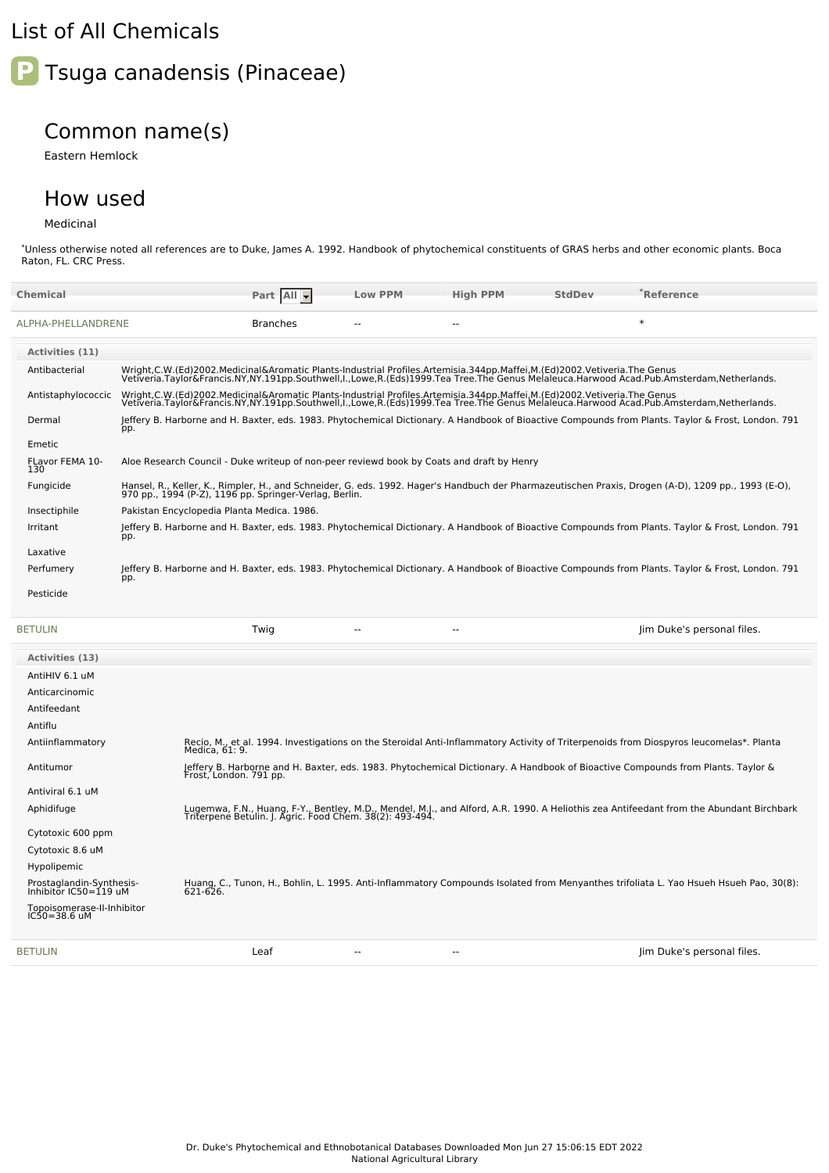## List of All Chemicals



## Common name(s)

Eastern Hemlock

## How used

## Medicinal

\*Unless otherwise noted all references are to Duke, James A. 1992. Handbook of phytochemical constituents of GRAS herbs and other economic plants. Boca Raton, FL. CRC Press.

| <b>Chemical</b>                                                             |                                                                                                                         | Part All                                                 | <b>Low PPM</b> | <b>High PPM</b> | <b>StdDev</b> | $\degree$ Reference                                                                                                                                                                                                               |  |
|-----------------------------------------------------------------------------|-------------------------------------------------------------------------------------------------------------------------|----------------------------------------------------------|----------------|-----------------|---------------|-----------------------------------------------------------------------------------------------------------------------------------------------------------------------------------------------------------------------------------|--|
| ALPHA-PHELLANDRENE                                                          |                                                                                                                         | <b>Branches</b>                                          | $\overline{a}$ | $\sim$          |               | $\ast$                                                                                                                                                                                                                            |  |
| Activities (11)                                                             |                                                                                                                         |                                                          |                |                 |               |                                                                                                                                                                                                                                   |  |
| Antibacterial                                                               |                                                                                                                         |                                                          |                |                 |               | Wright,C.W.(Ed)2002.Medicinal&Aromatic Plants-Industrial Profiles.Artemisia.344pp.Maffei,M.(Ed)2002.Vetiveria.The Genus<br>Vetiveria.Taylor&Francis.NY,NY.191pp.Southwell,I.,Lowe,R.(Eds)1999.Tea Tree.The Genus Melaleuca.Harwoo |  |
| Antistaphylococcic                                                          | Wright,C.W.(Ed)2002.Medicinal&Aromatic Plants-Industrial Profiles.Artemisia.344pp.Maffei,M.(Ed)2002.Vetiveria.The Genus |                                                          |                |                 |               | Vetiveria.Taylor&Francis.NY,NY.191pp.Southwell,I.,Lowe,R.(Eds)1999.Tea Tree.The Genus Melaleuca.Harwood Acad.Pub.Amsterdam,Netherlands.                                                                                           |  |
| Dermal                                                                      | pp.                                                                                                                     |                                                          |                |                 |               | Jeffery B. Harborne and H. Baxter, eds. 1983. Phytochemical Dictionary. A Handbook of Bioactive Compounds from Plants. Taylor & Frost, London. 791                                                                                |  |
| Emetic                                                                      |                                                                                                                         |                                                          |                |                 |               |                                                                                                                                                                                                                                   |  |
| FLavor FEMA 10-<br>130                                                      | Aloe Research Council - Duke writeup of non-peer reviewd book by Coats and draft by Henry                               |                                                          |                |                 |               |                                                                                                                                                                                                                                   |  |
| Fungicide                                                                   | 970 pp., 1994 (P-Z), 1196 pp. Springer-Verlag, Berlin.                                                                  |                                                          |                |                 |               | Hansel, R., Keller, K., Rimpler, H., and Schneider, G. eds. 1992. Hager's Handbuch der Pharmazeutischen Praxis, Drogen (A-D), 1209 pp., 1993 (E-O),                                                                               |  |
| Insectiphile                                                                | Pakistan Encyclopedia Planta Medica. 1986.                                                                              |                                                          |                |                 |               |                                                                                                                                                                                                                                   |  |
| Irritant                                                                    | pp.                                                                                                                     |                                                          |                |                 |               | Jeffery B. Harborne and H. Baxter, eds. 1983. Phytochemical Dictionary. A Handbook of Bioactive Compounds from Plants. Taylor & Frost, London. 791                                                                                |  |
| Laxative                                                                    |                                                                                                                         |                                                          |                |                 |               |                                                                                                                                                                                                                                   |  |
| Perfumery                                                                   | pp.                                                                                                                     |                                                          |                |                 |               | Jeffery B. Harborne and H. Baxter, eds. 1983. Phytochemical Dictionary. A Handbook of Bioactive Compounds from Plants. Taylor & Frost, London. 791                                                                                |  |
| Pesticide                                                                   |                                                                                                                         |                                                          |                |                 |               |                                                                                                                                                                                                                                   |  |
|                                                                             |                                                                                                                         |                                                          |                |                 |               |                                                                                                                                                                                                                                   |  |
| <b>BETULIN</b>                                                              |                                                                                                                         | Twig                                                     | $\overline{a}$ | $\sim$          |               | Jim Duke's personal files.                                                                                                                                                                                                        |  |
| <b>Activities (13)</b>                                                      |                                                                                                                         |                                                          |                |                 |               |                                                                                                                                                                                                                                   |  |
|                                                                             |                                                                                                                         |                                                          |                |                 |               |                                                                                                                                                                                                                                   |  |
| AntiHIV 6.1 uM                                                              |                                                                                                                         |                                                          |                |                 |               |                                                                                                                                                                                                                                   |  |
| Anticarcinomic                                                              |                                                                                                                         |                                                          |                |                 |               |                                                                                                                                                                                                                                   |  |
| Antifeedant                                                                 |                                                                                                                         |                                                          |                |                 |               |                                                                                                                                                                                                                                   |  |
| Antiflu<br>Antiinflammatory                                                 |                                                                                                                         |                                                          |                |                 |               | Recio, M., et al. 1994. Investigations on the Steroidal Anti-Inflammatory Activity of Triterpenoids from Diospyros leucomelas*. Planta                                                                                            |  |
| Antitumor                                                                   | Medica, 61: 9.                                                                                                          |                                                          |                |                 |               | Jeffery B. Harborne and H. Baxter, eds. 1983. Phytochemical Dictionary. A Handbook of Bioactive Compounds from Plants. Taylor &                                                                                                   |  |
|                                                                             | Frost, London. 791 pp.                                                                                                  |                                                          |                |                 |               |                                                                                                                                                                                                                                   |  |
| Antiviral 6.1 uM<br>Aphidifuge                                              |                                                                                                                         |                                                          |                |                 |               | Lugemwa, F.N., Huang, F-Y., Bentley, M.D., Mendel, M.J., and Alford, A.R. 1990. A Heliothis zea Antifeedant from the Abundant Birchbark                                                                                           |  |
|                                                                             |                                                                                                                         | Triterpene Betulin. J. Agric. Food Chem. 38(2): 493-494. |                |                 |               |                                                                                                                                                                                                                                   |  |
| Cytotoxic 600 ppm                                                           |                                                                                                                         |                                                          |                |                 |               |                                                                                                                                                                                                                                   |  |
| Cytotoxic 8.6 uM                                                            |                                                                                                                         |                                                          |                |                 |               |                                                                                                                                                                                                                                   |  |
| Hypolipemic<br>Prostaglandin-Synthesis-                                     |                                                                                                                         |                                                          |                |                 |               |                                                                                                                                                                                                                                   |  |
| Inhibitor $IC50 = 119$ uM<br>Topoisomerase-II-Inhibitor<br>$IC50 = 38.6$ uM |                                                                                                                         |                                                          |                |                 |               | Huang, C., Tunon, H., Bohlin, L. 1995. Anti-Inflammatory Compounds Isolated from Menyanthes trifoliata L. Yao Hsueh Hsueh Pao, 30(8):<br>621-626.                                                                                 |  |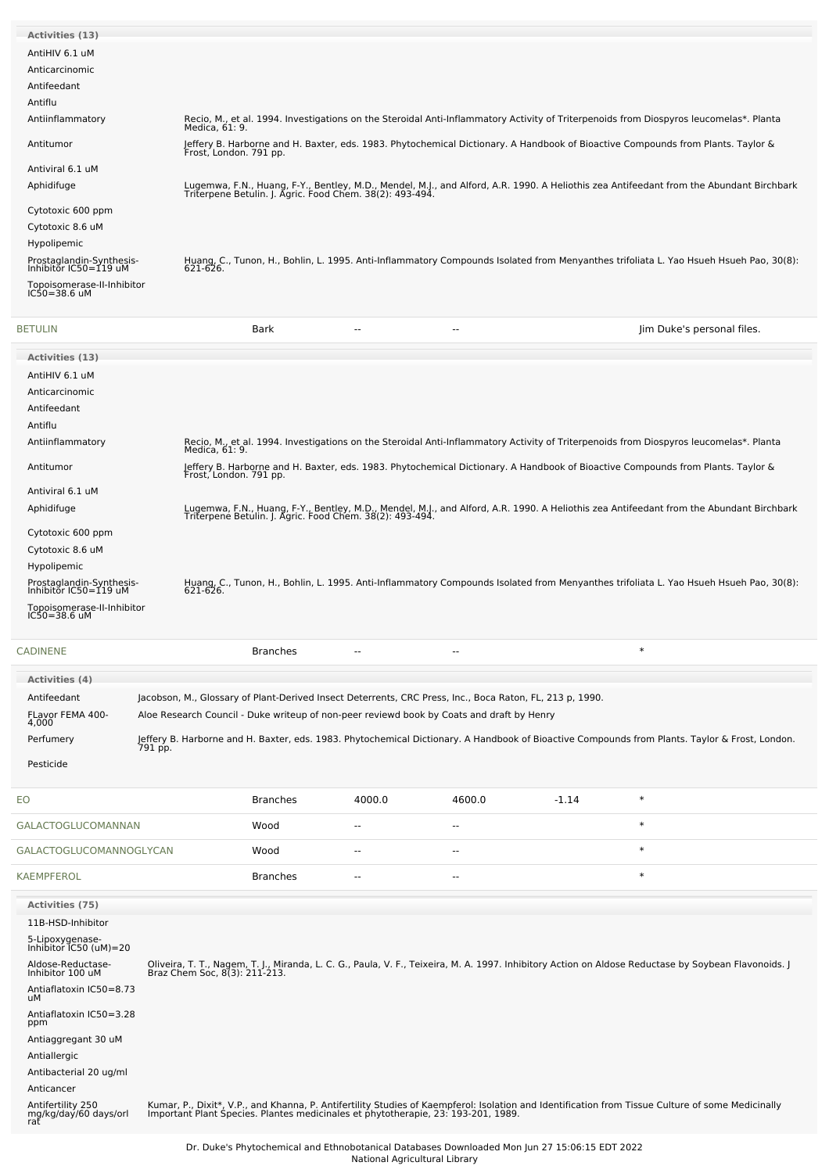| <b>Activities (13)</b>                            |                                                                                                                                                                                                     |
|---------------------------------------------------|-----------------------------------------------------------------------------------------------------------------------------------------------------------------------------------------------------|
| AntiHIV 6.1 uM                                    |                                                                                                                                                                                                     |
| Anticarcinomic                                    |                                                                                                                                                                                                     |
| Antifeedant                                       |                                                                                                                                                                                                     |
| Antiflu                                           |                                                                                                                                                                                                     |
| Antiinflammatory                                  | Recio, M., et al. 1994. Investigations on the Steroidal Anti-Inflammatory Activity of Triterpenoids from Diospyros leucomelas*. Planta<br>Medica, 61: 9.                                            |
| Antitumor                                         | Jeffery B. Harborne and H. Baxter, eds. 1983. Phytochemical Dictionary. A Handbook of Bioactive Compounds from Plants. Taylor &<br>Frost, London. 791 pp.                                           |
| Antiviral 6.1 uM                                  |                                                                                                                                                                                                     |
| Aphidifuge                                        | Lugemwa, F.N., Huang, F-Y., Bentley, M.D., Mendel, M.J., and Alford, A.R. 1990. A Heliothis zea Antifeedant from the Abundant Birchbark<br>Triterpene Betulin. J. Agric. Food Chem. 38(2): 493-494. |
| Cytotoxic 600 ppm                                 |                                                                                                                                                                                                     |
| Cytotoxic 8.6 uM                                  |                                                                                                                                                                                                     |
| Hypolipemic                                       |                                                                                                                                                                                                     |
| Prostaglandin-Synthesis-<br>Inhibitor IC50=119 uM | Huang, C., Tunon, H., Bohlin, L. 1995. Anti-Inflammatory Compounds Isolated from Menyanthes trifoliata L. Yao Hsueh Hsueh Pao, 30(8):<br>621-626.                                                   |
| Topoisomerase-II-Inhibitor<br>$IC50 = 38.6$ uM    |                                                                                                                                                                                                     |
|                                                   |                                                                                                                                                                                                     |

| BETULIN                                           | Bark<br>$- -$                                                                                                                                                                                       | Jim Duke's personal files. |
|---------------------------------------------------|-----------------------------------------------------------------------------------------------------------------------------------------------------------------------------------------------------|----------------------------|
| <b>Activities (13)</b>                            |                                                                                                                                                                                                     |                            |
| AntiHIV 6.1 uM                                    |                                                                                                                                                                                                     |                            |
| Anticarcinomic                                    |                                                                                                                                                                                                     |                            |
| Antifeedant                                       |                                                                                                                                                                                                     |                            |
| Antiflu                                           |                                                                                                                                                                                                     |                            |
| Antiinflammatory                                  | Recio, M., et al. 1994. Investigations on the Steroidal Anti-Inflammatory Activity of Triterpenoids from Diospyros leucomelas*. Planta<br>Medica, 61: 9.                                            |                            |
| Antitumor                                         | Jeffery B. Harborne and H. Baxter, eds. 1983. Phytochemical Dictionary. A Handbook of Bioactive Compounds from Plants. Taylor &<br>Frost, London. 791 pp.                                           |                            |
| Antiviral 6.1 uM                                  |                                                                                                                                                                                                     |                            |
| Aphidifuge                                        | Lugemwa, F.N., Huang, F-Y., Bentley, M.D., Mendel, M.J., and Alford, A.R. 1990. A Heliothis zea Antifeedant from the Abundant Birchbark<br>Triterpene Betulin. J. Agric. Food Chem. 38(2): 493-494. |                            |
| Cytotoxic 600 ppm                                 |                                                                                                                                                                                                     |                            |
| Cytotoxic 8.6 uM                                  |                                                                                                                                                                                                     |                            |
| Hypolipemic                                       |                                                                                                                                                                                                     |                            |
| Prostaglandin-Synthesis-<br>Inhibitor IC50=119 uM | Huang, C., Tunon, H., Bohlin, L. 1995. Anti-Inflammatory Compounds Isolated from Menyanthes trifoliata L. Yao Hsueh Hsueh Pao, 30(8):<br>621-626.                                                   |                            |
| Topoisomerase-II-Inhibitor<br>IC50=38.6 uM        |                                                                                                                                                                                                     |                            |
|                                                   |                                                                                                                                                                                                     |                            |

| <b>CADINENE</b>           | Branches                                                                                                                                                  | -- | $- -$ |  |
|---------------------------|-----------------------------------------------------------------------------------------------------------------------------------------------------------|----|-------|--|
| <b>Activities (4)</b>     |                                                                                                                                                           |    |       |  |
| Antifeedant               | Jacobson, M., Glossary of Plant-Derived Insect Deterrents, CRC Press, Inc., Boca Raton, FL, 213 p, 1990.                                                  |    |       |  |
| FLavor FEMA 400-<br>4.000 | Aloe Research Council - Duke writeup of non-peer reviewd book by Coats and draft by Henry                                                                 |    |       |  |
| Perfumery                 | Jeffery B. Harborne and H. Baxter, eds. 1983. Phytochemical Dictionary. A Handbook of Bioactive Compounds from Plants. Taylor & Frost, London.<br>791 pp. |    |       |  |
| Pesticide                 |                                                                                                                                                           |    |       |  |

| <b>EO</b>                                         |  | <b>Branches</b> | 4000.0 | 4600.0                   | $-1.14$ | $\ast$                                                                                                                                                                                                                           |
|---------------------------------------------------|--|-----------------|--------|--------------------------|---------|----------------------------------------------------------------------------------------------------------------------------------------------------------------------------------------------------------------------------------|
| <b>GALACTOGLUCOMANNAN</b>                         |  | Wood            | $- -$  | $\overline{\phantom{a}}$ |         | $\ast$                                                                                                                                                                                                                           |
| GALACTOGLUCOMANNOGLYCAN                           |  | Wood            | $- -$  | --                       |         | $\ast$                                                                                                                                                                                                                           |
| <b>KAEMPFEROL</b>                                 |  | <b>Branches</b> | --     | $\overline{\phantom{a}}$ |         | $\ast$                                                                                                                                                                                                                           |
| <b>Activities (75)</b>                            |  |                 |        |                          |         |                                                                                                                                                                                                                                  |
| 11B-HSD-Inhibitor                                 |  |                 |        |                          |         |                                                                                                                                                                                                                                  |
| 5-Lipoxygenase-<br>Inhibitor IC50 (uM)=20         |  |                 |        |                          |         |                                                                                                                                                                                                                                  |
| Aldose-Reductase-<br>Inhibitor 100 uM             |  |                 |        |                          |         | Oliveira, T. T., Nagem, T. J., Miranda, L. C. G., Paula, V. F., Teixeira, M. A. 1997. Inhibitory Action on Aldose Reductase by Soybean Flavonoids. J<br>Braz Chem Soc, 8(3): 211-213.                                            |
| Antiaflatoxin IC50=8.73<br>uM                     |  |                 |        |                          |         |                                                                                                                                                                                                                                  |
| Antiaflatoxin IC50=3.28<br>ppm                    |  |                 |        |                          |         |                                                                                                                                                                                                                                  |
| Antiaggregant 30 uM                               |  |                 |        |                          |         |                                                                                                                                                                                                                                  |
| Antiallergic                                      |  |                 |        |                          |         |                                                                                                                                                                                                                                  |
| Antibacterial 20 ug/ml                            |  |                 |        |                          |         |                                                                                                                                                                                                                                  |
| Anticancer                                        |  |                 |        |                          |         |                                                                                                                                                                                                                                  |
| Antifertility 250<br>mg/kg/day/60 days/orl<br>rat |  |                 |        |                          |         | Kumar, P., Dixit*, V.P., and Khanna, P. Antifertility Studies of Kaempferol: Isolation and Identification from Tissue Culture of some Medicinally<br>Important Plant Species. Plantes medicinales et phytotherapie, 23: 193-201, |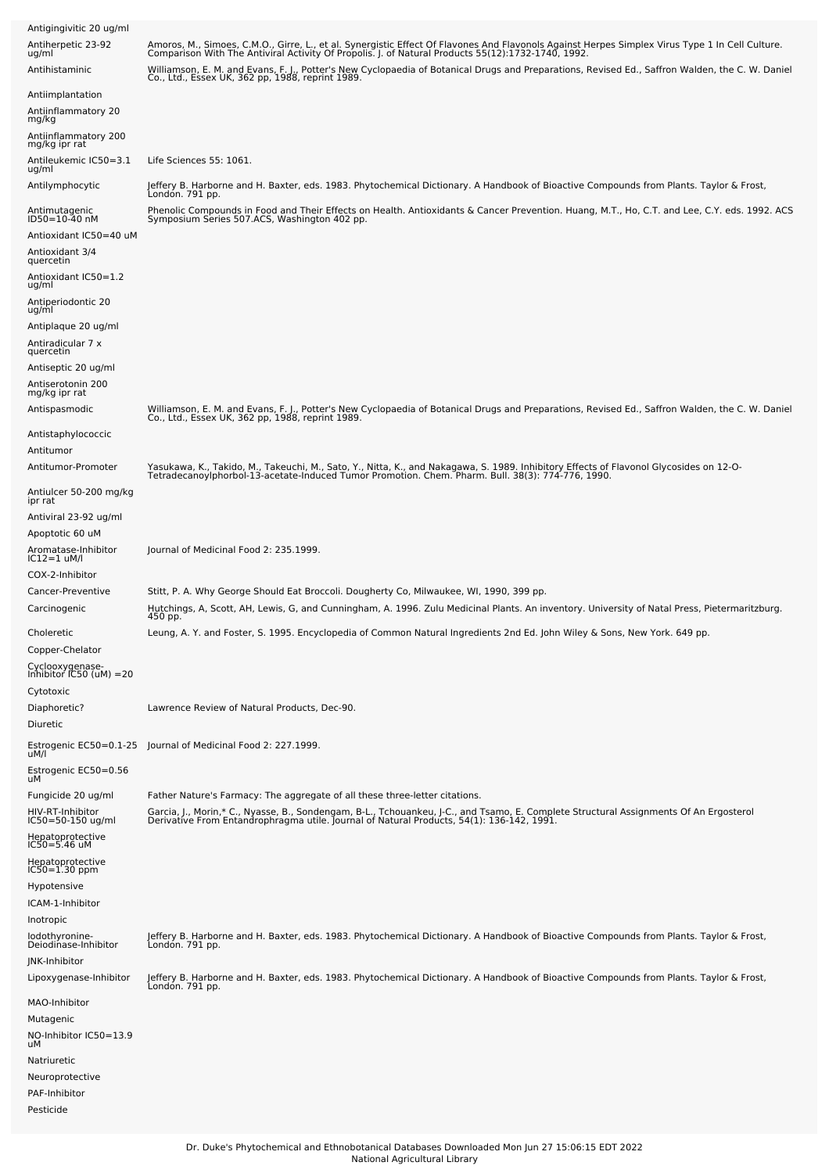| Antigingivitic 20 ug/ml                                        |                                                                                                                                                                                                                                                     |
|----------------------------------------------------------------|-----------------------------------------------------------------------------------------------------------------------------------------------------------------------------------------------------------------------------------------------------|
| Antiherpetic 23-92<br>ug/ml                                    | Amoros, M., Simoes, C.M.O., Girre, L., et al. Synergistic Effect Of Flavones And Flavonols Against Herpes Simplex Virus Type 1 In Cell Culture.<br>Comparison With The Antiviral Activity Of Propolis. J. of Natural Products 55(                   |
| Antihistaminic                                                 | Williamson, E. M. and Evans, F. J., Potter's New Cyclopaedia of Botanical Drugs and Preparations, Revised Ed., Saffron Walden, the C. W. Daniel<br>Co., Ltd., Essex UK, 362 pp, 1988, reprint 1989.                                                 |
| Antiimplantation<br>Antiinflammatory 20<br>mg/kg               |                                                                                                                                                                                                                                                     |
| Antiinflammatory 200<br>mg/kg ipr rat<br>Antileukemic IC50=3.1 | Life Sciences 55: 1061.                                                                                                                                                                                                                             |
| ug/ml<br>Antilymphocytic                                       | Jeffery B. Harborne and H. Baxter, eds. 1983. Phytochemical Dictionary. A Handbook of Bioactive Compounds from Plants. Taylor & Frost,                                                                                                              |
|                                                                | Londón. 791 pp.                                                                                                                                                                                                                                     |
| Antimutagenic<br>ID50=10-40 nM                                 | Phenolic Compounds in Food and Their Effects on Health. Antioxidants & Cancer Prevention. Huang, M.T., Ho, C.T. and Lee, C.Y. eds. 1992. ACS<br>Symposium Series 507.ACS, Washington 402 pp.                                                        |
| Antioxidant IC50=40 uM<br>Antioxidant 3/4                      |                                                                                                                                                                                                                                                     |
| quercetin<br>Antioxidant IC50=1.2<br>ug/ml                     |                                                                                                                                                                                                                                                     |
| Antiperiodontic 20<br>ug/ml                                    |                                                                                                                                                                                                                                                     |
| Antiplaque 20 ug/ml                                            |                                                                                                                                                                                                                                                     |
| Antiradicular 7 x<br>quercetin                                 |                                                                                                                                                                                                                                                     |
| Antiseptic 20 ug/ml<br>Antiserotonin 200                       |                                                                                                                                                                                                                                                     |
| mg/kg ipr rat                                                  |                                                                                                                                                                                                                                                     |
| Antispasmodic                                                  | Williamson, E. M. and Evans, F. J., Potter's New Cyclopaedia of Botanical Drugs and Preparations, Revised Ed., Saffron Walden, the C. W. Daniel<br>Co., Ltd., Essex UK, 362 pp, 1988, reprint 1989.                                                 |
| Antistaphylococcic<br>Antitumor                                |                                                                                                                                                                                                                                                     |
| Antitumor-Promoter                                             | Yasukawa, K., Takido, M., Takeuchi, M., Sato, Y., Nitta, K., and Nakagawa, S. 1989. Inhibitory Effects of Flavonol Glycosides on 12-O-<br>.1990. TetradecanoyIphorbol-13-acetate-Induced Tumor Promotion. Chem. Pharm. Bull. 38(3): 774-776, 1990   |
| Antiulcer 50-200 mg/kg<br>ipr rat                              |                                                                                                                                                                                                                                                     |
| Antiviral 23-92 ug/ml                                          |                                                                                                                                                                                                                                                     |
| Apoptotic 60 uM<br>Aromatase-Inhibitor<br>$IC12=1$ uM/l        | Journal of Medicinal Food 2: 235.1999.                                                                                                                                                                                                              |
| COX-2-Inhibitor                                                |                                                                                                                                                                                                                                                     |
| Cancer-Preventive<br>Carcinogenic                              | Stitt, P. A. Why George Should Eat Broccoli. Dougherty Co, Milwaukee, WI, 1990, 399 pp.<br>Hutchings, A, Scott, AH, Lewis, G, and Cunningham, A. 1996. Zulu Medicinal Plants. An inventory. University of Natal Press, Pietermaritzburg.<br>450 pp. |
| Choleretic<br>Copper-Chelator                                  | Leung, A. Y. and Foster, S. 1995. Encyclopedia of Common Natural Ingredients 2nd Ed. John Wiley & Sons, New York. 649 pp.                                                                                                                           |
| Cyclooxygenase-<br>Inhibitor IC50 (uM) =20                     |                                                                                                                                                                                                                                                     |
| Cytotoxic                                                      |                                                                                                                                                                                                                                                     |
| Diaphoretic?<br>Diuretic                                       | Lawrence Review of Natural Products, Dec-90.                                                                                                                                                                                                        |
| uM/l                                                           | Estrogenic EC50=0.1-25 Journal of Medicinal Food 2: 227.1999.                                                                                                                                                                                       |
| Estrogenic EC50=0.56<br>uМ                                     |                                                                                                                                                                                                                                                     |
| Fungicide 20 ug/ml                                             | Father Nature's Farmacy: The aggregate of all these three-letter citations.                                                                                                                                                                         |
| HIV-RT-Inhibitor<br>IC50=50-150 ug/ml                          | Garcia, J., Morin,* C., Nyasse, B., Sondengam, B-L., Tchouankeu, J-C., and Tsamo, E. Complete Structural Assignments Of An Ergosterol<br>Derivative From Entandrophragma utile. Journal of Natural Products, 54(1): 136-142, 1991                   |
| Hepatoprotective<br>IC50=5.46 uM                               |                                                                                                                                                                                                                                                     |
| Hepatoprotective<br>$IC50 = 1.30$ ppm                          |                                                                                                                                                                                                                                                     |
| Hypotensive                                                    |                                                                                                                                                                                                                                                     |
| ICAM-1-Inhibitor<br>Inotropic                                  |                                                                                                                                                                                                                                                     |
| lodothyronine-<br>Deiodinase-Inhibitor                         | Jeffery B. Harborne and H. Baxter, eds. 1983. Phytochemical Dictionary. A Handbook of Bioactive Compounds from Plants. Taylor & Frost,<br>London. 791 pp.                                                                                           |
| JNK-Inhibitor<br>Lipoxygenase-Inhibitor                        | Jeffery B. Harborne and H. Baxter, eds. 1983. Phytochemical Dictionary. A Handbook of Bioactive Compounds from Plants. Taylor & Frost,                                                                                                              |
| MAO-Inhibitor                                                  | London. 791 pp.                                                                                                                                                                                                                                     |
| Mutagenic                                                      |                                                                                                                                                                                                                                                     |
| NO-Inhibitor IC50=13.9<br>uМ                                   |                                                                                                                                                                                                                                                     |
| Natriuretic<br>Neuroprotective                                 |                                                                                                                                                                                                                                                     |
| PAF-Inhibitor<br>Pesticide                                     |                                                                                                                                                                                                                                                     |
|                                                                |                                                                                                                                                                                                                                                     |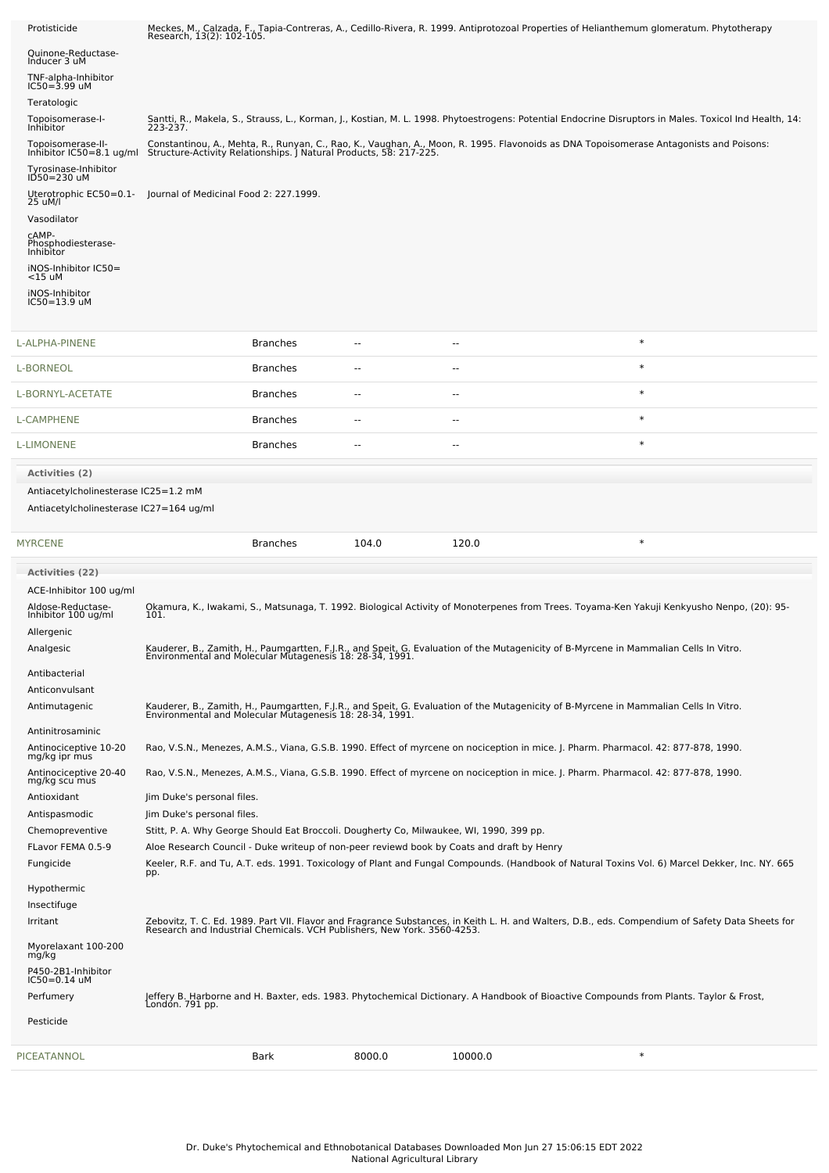| Protisticide                                  |                                                                                                                       |                 |                          |         | Meckes, M., Calzada, F., Tapia-Contreras, A., Cedillo-Rivera, R. 1999. Antiprotozoal Properties of Helianthemum glomeratum. Phytotherapy<br>Research, 13(2): 102-105.                                                       |  |
|-----------------------------------------------|-----------------------------------------------------------------------------------------------------------------------|-----------------|--------------------------|---------|-----------------------------------------------------------------------------------------------------------------------------------------------------------------------------------------------------------------------------|--|
| Quinone-Reductase-<br>Inducer 3 uM            |                                                                                                                       |                 |                          |         |                                                                                                                                                                                                                             |  |
| TNF-alpha-Inhibitor                           |                                                                                                                       |                 |                          |         |                                                                                                                                                                                                                             |  |
| $IC50 = 3.99$ uM<br>Teratologic               |                                                                                                                       |                 |                          |         |                                                                                                                                                                                                                             |  |
| Topoisomerase-I-<br>Inhibitor                 | 223-237.                                                                                                              |                 |                          |         | Santti, R., Makela, S., Strauss, L., Korman, J., Kostian, M. L. 1998. Phytoestrogens: Potential Endocrine Disruptors in Males. Toxicol Ind Health, 14:                                                                      |  |
| Topoisomerase-II-<br>Inhibitor IC50=8.1 ug/ml |                                                                                                                       |                 |                          |         | Constantinou, A., Mehta, R., Runyan, C., Rao, K., Vaughan, A., Moon, R. 1995. Flavonoids as DNA Topoisomerase Antagonists and Poisons:<br>Structure-Activity Relationships. J Natural Products, 58: 217-225.                |  |
| Tyrosinase-Inhibitor<br>ID50=230 uM           |                                                                                                                       |                 |                          |         |                                                                                                                                                                                                                             |  |
| Uterotrophic EC50=0.1-                        | Journal of Medicinal Food 2: 227.1999.                                                                                |                 |                          |         |                                                                                                                                                                                                                             |  |
| 25 uM/l<br>Vasodilator                        |                                                                                                                       |                 |                          |         |                                                                                                                                                                                                                             |  |
| CAMP-<br>Phosphodiesterase-                   |                                                                                                                       |                 |                          |         |                                                                                                                                                                                                                             |  |
| Inhibitor<br>iNOS-Inhibitor IC50=             |                                                                                                                       |                 |                          |         |                                                                                                                                                                                                                             |  |
| <15 uM<br>iNOS-Inhibitor                      |                                                                                                                       |                 |                          |         |                                                                                                                                                                                                                             |  |
| IC50=13.9 uM                                  |                                                                                                                       |                 |                          |         |                                                                                                                                                                                                                             |  |
| L-ALPHA-PINENE                                |                                                                                                                       | <b>Branches</b> | --                       | --      | $\ast$                                                                                                                                                                                                                      |  |
| L-BORNEOL                                     |                                                                                                                       | <b>Branches</b> |                          | ٠.      | $\ast$                                                                                                                                                                                                                      |  |
| L-BORNYL-ACETATE                              |                                                                                                                       | <b>Branches</b> | --                       | ۰.      | $\ast$                                                                                                                                                                                                                      |  |
| L-CAMPHENE                                    |                                                                                                                       | <b>Branches</b> | $\overline{\phantom{a}}$ | $-$     | $\ast$                                                                                                                                                                                                                      |  |
| L-LIMONENE                                    |                                                                                                                       | <b>Branches</b> | --                       | ٠.      | $\ast$                                                                                                                                                                                                                      |  |
| <b>Activities (2)</b>                         |                                                                                                                       |                 |                          |         |                                                                                                                                                                                                                             |  |
| Antiacetylcholinesterase IC25=1.2 mM          |                                                                                                                       |                 |                          |         |                                                                                                                                                                                                                             |  |
| Antiacetylcholinesterase IC27=164 ug/ml       |                                                                                                                       |                 |                          |         |                                                                                                                                                                                                                             |  |
| MYRCENE                                       |                                                                                                                       | <b>Branches</b> | 104.0                    | 120.0   | $\ast$                                                                                                                                                                                                                      |  |
| <b>Activities (22)</b>                        |                                                                                                                       |                 |                          |         |                                                                                                                                                                                                                             |  |
| ACE-Inhibitor 100 ug/ml                       |                                                                                                                       |                 |                          |         |                                                                                                                                                                                                                             |  |
| Aldose-Reductase-<br>Inhibitor 100 ug/ml      | 101.                                                                                                                  |                 |                          |         | Okamura, K., Iwakami, S., Matsunaga, T. 1992. Biological Activity of Monoterpenes from Trees. Toyama-Ken Yakuji Kenkyusho Nenpo, (20): 95-                                                                                  |  |
| Allergenic                                    |                                                                                                                       |                 |                          |         |                                                                                                                                                                                                                             |  |
| Analgesic                                     |                                                                                                                       |                 |                          |         | Kauderer, B., Zamith, H., Paumgartten, F.J.R., and Speit, G. Evaluation of the Mutagenicity of B-Myrcene in Mammalian Cells In Vitro.<br>Environmental and Molecular Mutagenesis 18: 28-34, 1991.                           |  |
| Antibacterial<br>Anticonvulsant               |                                                                                                                       |                 |                          |         |                                                                                                                                                                                                                             |  |
| Antimutagenic                                 |                                                                                                                       |                 |                          |         | Kauderer, B., Zamith, H., Paumgartten, F.J.R., and Speit, G. Evaluation of the Mutagenicity of B-Myrcene in Mammalian Cells In Vitro.<br>Environmental and Molecular Mutagenesis 18: 28-34, 1991.                           |  |
| Antinitrosaminic                              |                                                                                                                       |                 |                          |         |                                                                                                                                                                                                                             |  |
| Antinociceptive 10-20<br>mg/kg ipr mus        |                                                                                                                       |                 |                          |         | Rao, V.S.N., Menezes, A.M.S., Viana, G.S.B. 1990. Effect of myrcene on nociception in mice. J. Pharm. Pharmacol. 42: 877-878, 1990.                                                                                         |  |
| Antinociceptive 20-40<br>mg/kg scu mus        |                                                                                                                       |                 |                          |         | Rao, V.S.N., Menezes, A.M.S., Viana, G.S.B. 1990. Effect of myrcene on nociception in mice. J. Pharm. Pharmacol. 42: 877-878, 1990.                                                                                         |  |
| Antioxidant                                   | Jim Duke's personal files.                                                                                            |                 |                          |         |                                                                                                                                                                                                                             |  |
| Antispasmodic<br>Chemopreventive              | Jim Duke's personal files.<br>Stitt, P. A. Why George Should Eat Broccoli. Dougherty Co, Milwaukee, WI, 1990, 399 pp. |                 |                          |         |                                                                                                                                                                                                                             |  |
| FLavor FEMA 0.5-9                             | Aloe Research Council - Duke writeup of non-peer reviewd book by Coats and draft by Henry                             |                 |                          |         |                                                                                                                                                                                                                             |  |
| Fungicide                                     | pp.                                                                                                                   |                 |                          |         | Keeler, R.F. and Tu, A.T. eds. 1991. Toxicology of Plant and Fungal Compounds. (Handbook of Natural Toxins Vol. 6) Marcel Dekker, Inc. NY. 665                                                                              |  |
| Hypothermic                                   |                                                                                                                       |                 |                          |         |                                                                                                                                                                                                                             |  |
| Insectifuge<br>Irritant                       |                                                                                                                       |                 |                          |         | Zebovitz, T. C. Ed. 1989. Part VII. Flavor and Fragrance Substances, in Keith L. H. and Walters, D.B., eds. Compendium of Safety Data Sheets for<br>Research and Industrial Chemicals. VCH Publishers, New York. 3560-4253. |  |
| Myorelaxant 100-200                           |                                                                                                                       |                 |                          |         |                                                                                                                                                                                                                             |  |
| mg/kg<br>P450-2B1-Inhibitor                   |                                                                                                                       |                 |                          |         |                                                                                                                                                                                                                             |  |
| IC50=0.14 uM<br>Perfumery                     |                                                                                                                       |                 |                          |         | Jeffery B. Harborne and H. Baxter, eds. 1983. Phytochemical Dictionary. A Handbook of Bioactive Compounds from Plants. Taylor & Frost,                                                                                      |  |
|                                               | Londón. 791 pp.                                                                                                       |                 |                          |         |                                                                                                                                                                                                                             |  |
| Pesticide                                     |                                                                                                                       |                 |                          |         |                                                                                                                                                                                                                             |  |
| PICEATANNOL                                   | Bark                                                                                                                  |                 | 8000.0                   | 10000.0 | $\ast$                                                                                                                                                                                                                      |  |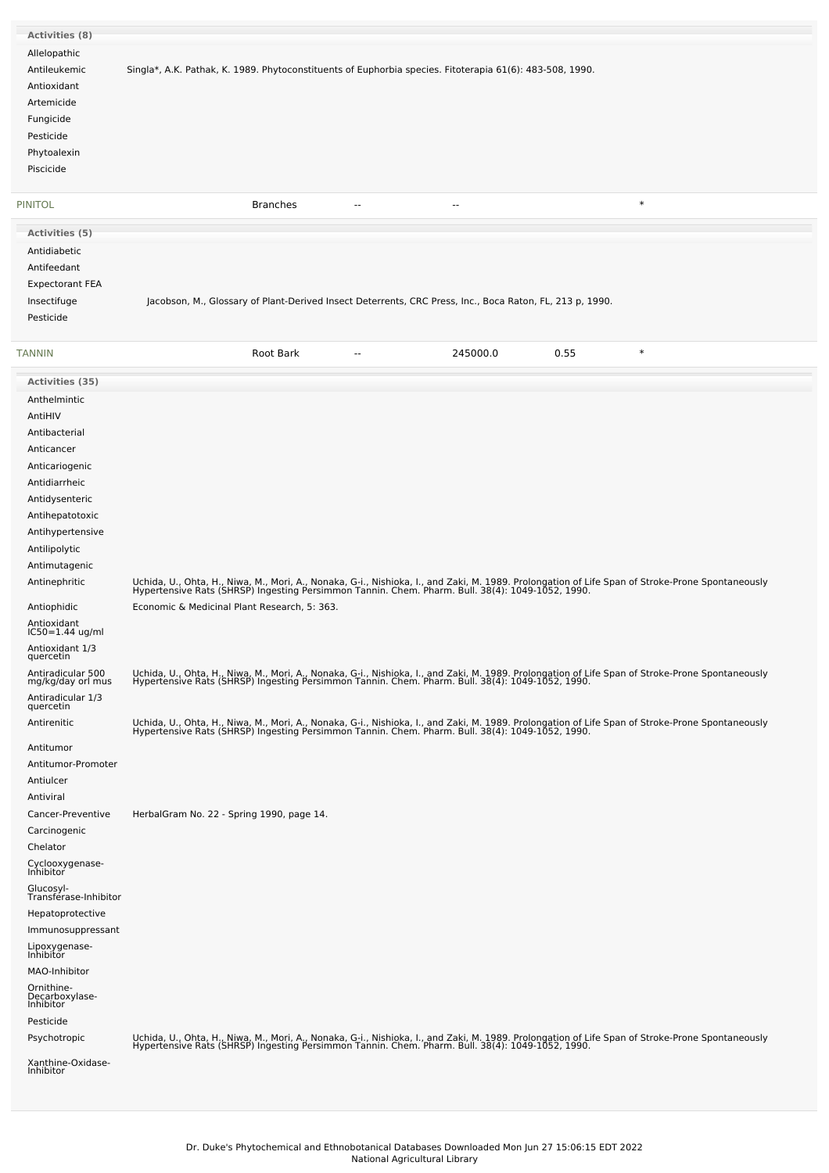| <b>Activities (8)</b>                     |                                                                                                                                                                                                                                   |
|-------------------------------------------|-----------------------------------------------------------------------------------------------------------------------------------------------------------------------------------------------------------------------------------|
| Allelopathic                              |                                                                                                                                                                                                                                   |
| Antileukemic                              | Singla*, A.K. Pathak, K. 1989. Phytoconstituents of Euphorbia species. Fitoterapia 61(6): 483-508, 1990.                                                                                                                          |
| Antioxidant                               |                                                                                                                                                                                                                                   |
| Artemicide                                |                                                                                                                                                                                                                                   |
| Fungicide                                 |                                                                                                                                                                                                                                   |
| Pesticide                                 |                                                                                                                                                                                                                                   |
| Phytoalexin                               |                                                                                                                                                                                                                                   |
| Piscicide                                 |                                                                                                                                                                                                                                   |
|                                           |                                                                                                                                                                                                                                   |
| <b>PINITOL</b>                            | $\ast$<br><b>Branches</b><br>$\overline{\phantom{a}}$<br>٠.                                                                                                                                                                       |
| Activities (5)                            |                                                                                                                                                                                                                                   |
| Antidiabetic                              |                                                                                                                                                                                                                                   |
| Antifeedant                               |                                                                                                                                                                                                                                   |
| <b>Expectorant FEA</b>                    |                                                                                                                                                                                                                                   |
| Insectifuge                               | Jacobson, M., Glossary of Plant-Derived Insect Deterrents, CRC Press, Inc., Boca Raton, FL, 213 p, 1990.                                                                                                                          |
| Pesticide                                 |                                                                                                                                                                                                                                   |
| <b>TANNIN</b>                             | $\ast$<br>Root Bark<br>245000.0<br>0.55<br>$\overline{\phantom{a}}$                                                                                                                                                               |
| Activities (35)                           |                                                                                                                                                                                                                                   |
| Anthelmintic                              |                                                                                                                                                                                                                                   |
| AntiHIV                                   |                                                                                                                                                                                                                                   |
| Antibacterial                             |                                                                                                                                                                                                                                   |
| Anticancer                                |                                                                                                                                                                                                                                   |
| Anticariogenic                            |                                                                                                                                                                                                                                   |
| Antidiarrheic                             |                                                                                                                                                                                                                                   |
| Antidysenteric                            |                                                                                                                                                                                                                                   |
| Antihepatotoxic                           |                                                                                                                                                                                                                                   |
| Antihypertensive                          |                                                                                                                                                                                                                                   |
| Antilipolytic<br>Antimutagenic            |                                                                                                                                                                                                                                   |
| Antinephritic                             |                                                                                                                                                                                                                                   |
|                                           | Uchida, U., Ohta, H., Niwa, M., Mori, A., Nonaka, G-i., Nishioka, I., and Zaki, M. 1989. Prolongation of Life Span of Stroke-Prone Spontaneously<br>Hypertensive Rats (SHRSP) Ingesting Persimmon Tannin. Chem. Pharm. Bull. 38(4 |
| Antiophidic<br>Antioxidant                | Economic & Medicinal Plant Research, 5: 363.                                                                                                                                                                                      |
| $IC50 = 1.44$ ug/ml                       |                                                                                                                                                                                                                                   |
| Antioxidant 1/3<br>quercetin              |                                                                                                                                                                                                                                   |
| Antiradicular 500<br>mg/kg/day orl mus    | Uchida, U., Ohta, H., Niwa, M., Mori, A., Nonaka, G-i., Nishioka, I., and Zaki, M. 1989. Prolongation of Life Span of Stroke-Prone Spontaneously<br>Hypertensive Rats (SHRSP) Ingesting Persimmon Tannin. Chem. Pharm. Bull. 38(4 |
| Antiradicular 1/3<br>quercetin            |                                                                                                                                                                                                                                   |
| Antirenitic                               | Uchida, U., Ohta, H., Niwa, M., Mori, A., Nonaka, G-i., Nishioka, I., and Zaki, M. 1989. Prolongation of Life Span of Stroke-Prone Spontaneously<br>Hypertensive Rats (SHRSP) Ingesting Persimmon Tannin. Chem. Pharm. Bull. 38(4 |
| Antitumor                                 |                                                                                                                                                                                                                                   |
| Antitumor-Promoter                        |                                                                                                                                                                                                                                   |
| Antiulcer                                 |                                                                                                                                                                                                                                   |
| Antiviral                                 |                                                                                                                                                                                                                                   |
| Cancer-Preventive                         | HerbalGram No. 22 - Spring 1990, page 14.                                                                                                                                                                                         |
| Carcinogenic                              |                                                                                                                                                                                                                                   |
| Chelator<br>Cyclooxygenase-               |                                                                                                                                                                                                                                   |
| Inhibitor<br>Glucosyl-                    |                                                                                                                                                                                                                                   |
| Transférase-Inhibitor                     |                                                                                                                                                                                                                                   |
| Hepatoprotective                          |                                                                                                                                                                                                                                   |
| Immunosuppressant                         |                                                                                                                                                                                                                                   |
| Lipoxygenase-<br>Inhibitor                |                                                                                                                                                                                                                                   |
| MAO-Inhibitor                             |                                                                                                                                                                                                                                   |
| Ornithine-<br>Decarboxylase-<br>Inhibitor |                                                                                                                                                                                                                                   |
| Pesticide                                 |                                                                                                                                                                                                                                   |
| Psychotropic                              | Uchida, U., Ohta, H., Niwa, M., Mori, A., Nonaka, G-i., Nishioka, I., and Zaki, M. 1989. Prolongation of Life Span of Stroke-Prone Spontaneously<br>Hypertensive Rats (SHRSP) Ingesting Persimmon Tannin. Chem. Pharm. Bull. 38(4 |
| Xanthine-Oxidase-<br>Inhibitor            |                                                                                                                                                                                                                                   |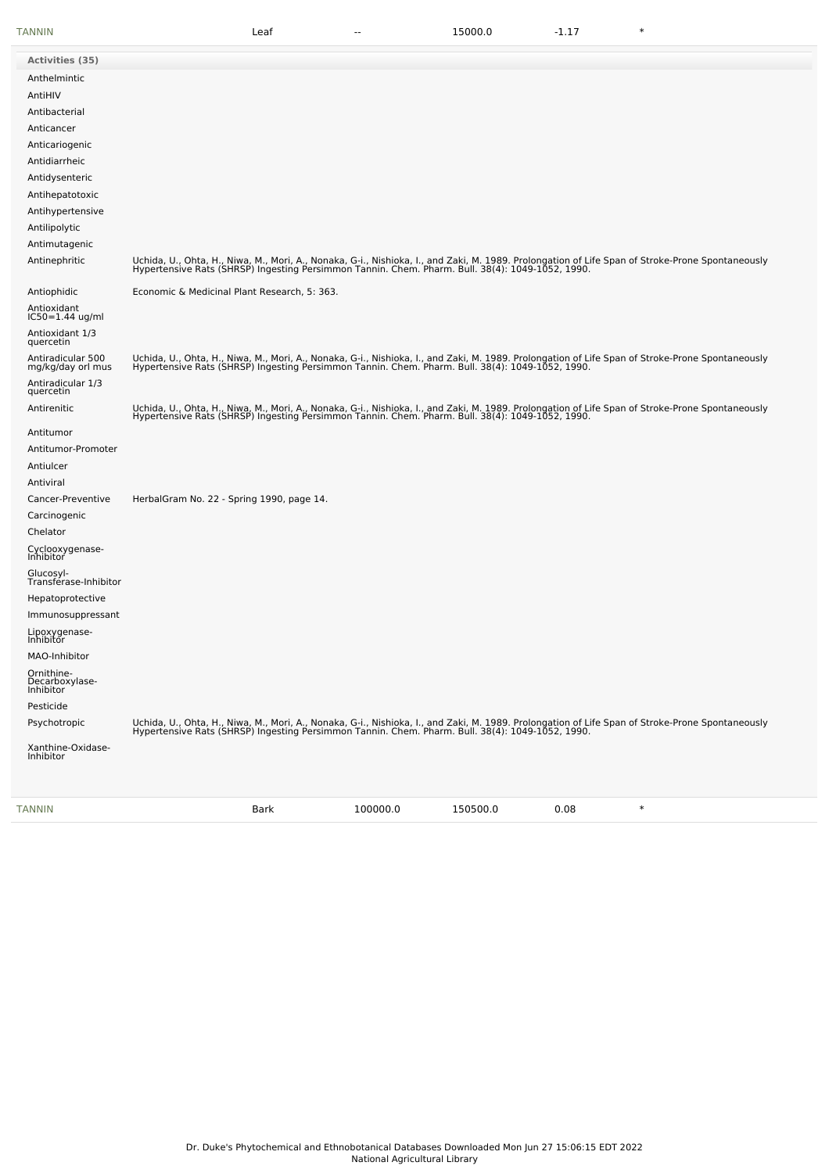| Activities (35)<br>Anthelmintic           |                                                                                                                                                                                                                                   |  |  |
|-------------------------------------------|-----------------------------------------------------------------------------------------------------------------------------------------------------------------------------------------------------------------------------------|--|--|
|                                           |                                                                                                                                                                                                                                   |  |  |
|                                           |                                                                                                                                                                                                                                   |  |  |
| AntiHIV                                   |                                                                                                                                                                                                                                   |  |  |
| Antibacterial                             |                                                                                                                                                                                                                                   |  |  |
| Anticancer                                |                                                                                                                                                                                                                                   |  |  |
| Anticariogenic                            |                                                                                                                                                                                                                                   |  |  |
| Antidiarrheic                             |                                                                                                                                                                                                                                   |  |  |
| Antidysenteric                            |                                                                                                                                                                                                                                   |  |  |
| Antihepatotoxic                           |                                                                                                                                                                                                                                   |  |  |
| Antihypertensive                          |                                                                                                                                                                                                                                   |  |  |
| Antilipolytic                             |                                                                                                                                                                                                                                   |  |  |
| Antimutagenic                             |                                                                                                                                                                                                                                   |  |  |
| Antinephritic                             | Uchida, U., Ohta, H., Niwa, M., Mori, A., Nonaka, G-i., Nishioka, I., and Zaki, M. 1989. Prolongation of Life Span of Stroke-Prone Spontaneously<br>Hypertensive Rats (SHRSP) Ingesting Persimmon Tannin. Chem. Pharm. Bull. 38(4 |  |  |
| Antiophidic                               | Economic & Medicinal Plant Research, 5: 363.                                                                                                                                                                                      |  |  |
| Antioxidant<br>IC50=1.44 ug/ml            |                                                                                                                                                                                                                                   |  |  |
| Antioxidant 1/3<br>quercetin              |                                                                                                                                                                                                                                   |  |  |
| Antiradicular 500<br>mg/kg/day orl mus    | Uchida, U., Ohta, H., Niwa, M., Mori, A., Nonaka, G-i., Nishioka, I., and Zaki, M. 1989. Prolongation of Life Span of Stroke-Prone Spontaneously<br>Hypertensive Rats (SHRSP) Ingesting Persimmon Tannin. Chem. Pharm. Bull. 38(4 |  |  |
| Antiradicular 1/3<br>quercetin            |                                                                                                                                                                                                                                   |  |  |
| Antirenitic                               | Uchida, U., Ohta, H., Niwa, M., Mori, A., Nonaka, G-i., Nishioka, I., and Zaki, M. 1989. Prolongation of Life Span of Stroke-Prone Spontaneously<br>Hypertensive Rats (SHRSP) Ingesting Persimmon Tannin. Chem. Pharm. Bull. 38(4 |  |  |
| Antitumor                                 |                                                                                                                                                                                                                                   |  |  |
| Antitumor-Promoter                        |                                                                                                                                                                                                                                   |  |  |
| Antiulcer                                 |                                                                                                                                                                                                                                   |  |  |
| Antiviral                                 |                                                                                                                                                                                                                                   |  |  |
| Cancer-Preventive                         | HerbalGram No. 22 - Spring 1990, page 14.                                                                                                                                                                                         |  |  |
| Carcinogenic                              |                                                                                                                                                                                                                                   |  |  |
| Chelator                                  |                                                                                                                                                                                                                                   |  |  |
| Cyclooxygenase-<br>Inhibitor              |                                                                                                                                                                                                                                   |  |  |
| Glucosyl-<br>Transferase-Inhibitor        |                                                                                                                                                                                                                                   |  |  |
| Hepatoprotective                          |                                                                                                                                                                                                                                   |  |  |
| Immunosuppressant                         |                                                                                                                                                                                                                                   |  |  |
| Lipoxygenase-<br>Inhibitor                |                                                                                                                                                                                                                                   |  |  |
| MAO-Inhibitor                             |                                                                                                                                                                                                                                   |  |  |
| Ornithine-<br>Decarboxylase-<br>Inhibitor |                                                                                                                                                                                                                                   |  |  |
| Pesticide                                 |                                                                                                                                                                                                                                   |  |  |
| Psychotropic                              | Uchida, U., Ohta, H., Niwa, M., Mori, A., Nonaka, G-i., Nishioka, I., and Zaki, M. 1989. Prolongation of Life Span of Stroke-Prone Spontaneously<br>Hypertensive Rats (SHRSP) Ingesting Persimmon Tannin. Chem. Pharm. Bull. 38(4 |  |  |
| Xanthine-Oxidase-<br><b>Inhibitor</b>     |                                                                                                                                                                                                                                   |  |  |

[TANNIN](file:///phytochem/chemicals/show/16791) Bark 100000.0 150500.0 0.08 \*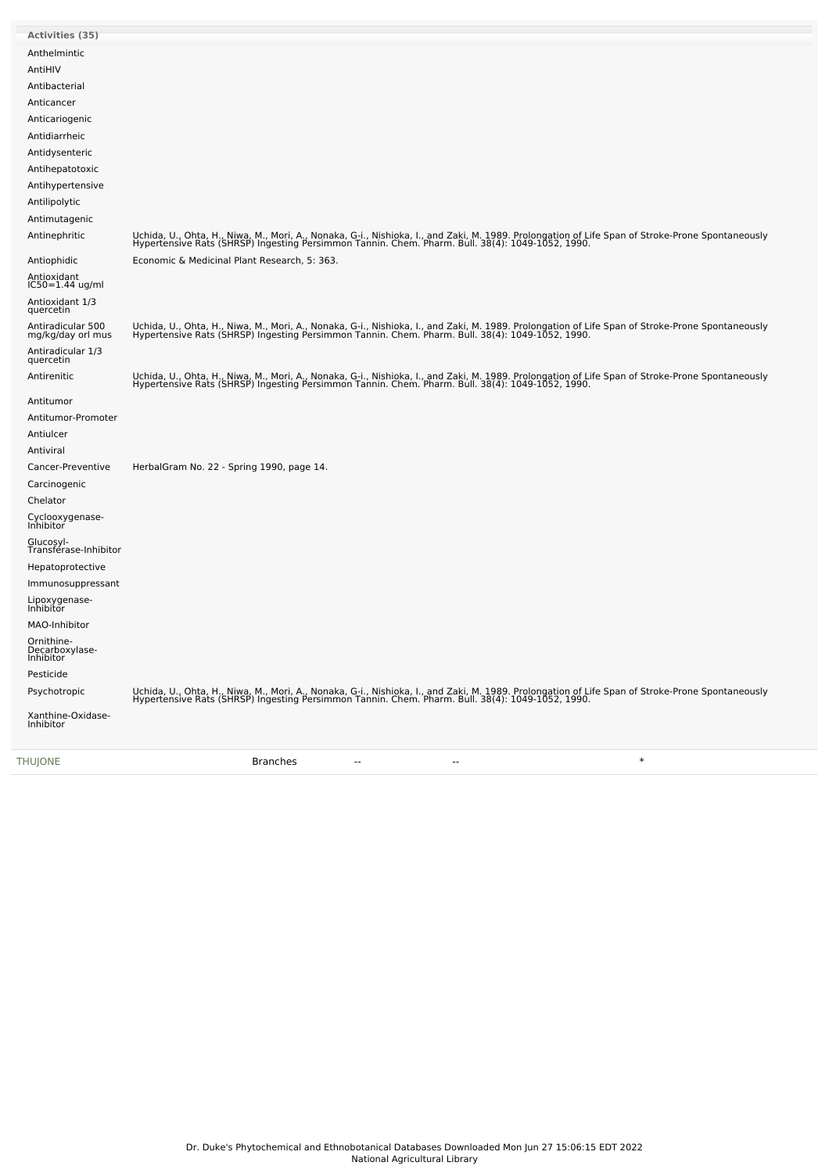| <b>THUJONE</b>                                      | $\ast$<br><b>Branches</b>                                                                                                                                                                                                         |
|-----------------------------------------------------|-----------------------------------------------------------------------------------------------------------------------------------------------------------------------------------------------------------------------------------|
| Xanthine-Oxidase-<br>Inhibitor                      |                                                                                                                                                                                                                                   |
| Psychotropic                                        | Uchida, U., Ohta, H., Niwa, M., Mori, A., Nonaka, G-i., Nishioka, I., and Zaki, M. 1989. Prolongation of Life Span of Stroke-Prone Spontaneously<br>Hypertensive Rats (SHRSP) Ingesting Persimmon Tannin. Chem. Pharm. Bull. 38(4 |
| Pesticide                                           |                                                                                                                                                                                                                                   |
| Inhibitor                                           |                                                                                                                                                                                                                                   |
| Ornithine-<br>Decarboxylase-                        |                                                                                                                                                                                                                                   |
| MAO-Inhibitor                                       |                                                                                                                                                                                                                                   |
| Lipoxygenase-<br>Inhibitor                          |                                                                                                                                                                                                                                   |
| Immunosuppressant                                   |                                                                                                                                                                                                                                   |
| Hepatoprotective                                    |                                                                                                                                                                                                                                   |
| Glucosyl-<br>Transférase-Inhibitor                  |                                                                                                                                                                                                                                   |
| Cyclooxygenase-<br>Inhibitor                        |                                                                                                                                                                                                                                   |
|                                                     |                                                                                                                                                                                                                                   |
| Carcinogenic<br>Chelator                            |                                                                                                                                                                                                                                   |
| Cancer-Preventive                                   | HerbalGram No. 22 - Spring 1990, page 14.                                                                                                                                                                                         |
| Antiviral                                           |                                                                                                                                                                                                                                   |
| Antiulcer                                           |                                                                                                                                                                                                                                   |
| Antitumor-Promoter                                  |                                                                                                                                                                                                                                   |
| Antitumor                                           |                                                                                                                                                                                                                                   |
|                                                     | Uchida, U., Ohta, H., Niwa, M., Mori, A., Nonaka, G-i., Nishioka, I., and Zaki, M. 1989. Prolongation of Life Span of Stroke-Prone Spontaneously<br>Hypertensive Rats (SHRSP) Ingesting Persimmon Tannin. Chem. Pharm. Bull. 38(4 |
| quercetin<br>Antirenitic                            |                                                                                                                                                                                                                                   |
| Antiradicular 1/3                                   |                                                                                                                                                                                                                                   |
| quercetin<br>Antiradicular 500<br>mg/kg/day orl mus | Uchida, U., Ohta, H., Niwa, M., Mori, A., Nonaka, G-i., Nishioka, I., and Zaki, M. 1989. Prolongation of Life Span of Stroke-Prone Spontaneously<br>Hypertensive Rats (SHRSP) Ingesting Persimmon Tannin. Chem. Pharm. Bull. 38(4 |
| Antioxidant 1/3                                     |                                                                                                                                                                                                                                   |
| Antioxidant<br>IC50=1.44 ug/ml                      |                                                                                                                                                                                                                                   |
| Antiophidic                                         | Economic & Medicinal Plant Research, 5: 363.                                                                                                                                                                                      |
| Antinephritic                                       | Uchida, U., Ohta, H., Niwa, M., Mori, A., Nonaka, G-i., Nishioka, I., and Zaki, M. 1989. Prolongation of Life Span of Stroke-Prone Spontaneously<br>Hypertensive Rats (SHRSP) Ingesting Persimmon Tannin. Chem. Pharm. Bull. 38(4 |
| Antimutagenic                                       |                                                                                                                                                                                                                                   |
| Antilipolytic                                       |                                                                                                                                                                                                                                   |
| Antihypertensive                                    |                                                                                                                                                                                                                                   |
| Antihepatotoxic                                     |                                                                                                                                                                                                                                   |
| Antidysenteric                                      |                                                                                                                                                                                                                                   |
| Antidiarrheic                                       |                                                                                                                                                                                                                                   |
| Anticariogenic                                      |                                                                                                                                                                                                                                   |
| Antibacterial<br>Anticancer                         |                                                                                                                                                                                                                                   |
| AntiHIV                                             |                                                                                                                                                                                                                                   |
|                                                     |                                                                                                                                                                                                                                   |
| Anthelmintic                                        |                                                                                                                                                                                                                                   |